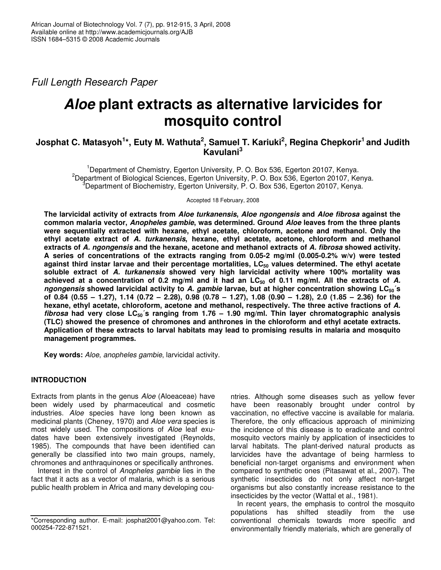*Full Length Research Paper*

# *Aloe* **plant extracts as alternative larvicides for mosquito control**

# Josphat C. Matasyoh<sup>1</sup>\*, Euty M. Wathuta<sup>2</sup>, Samuel T. Kariuki<sup>2</sup>, Regina Chepkorir<sup>1</sup> and Judith **Kavulani 3**

<sup>1</sup>Department of Chemistry, Egerton University, P. O. Box 536, Egerton 20107, Kenya. <sup>2</sup>Department of Biological Sciences, Egerton University, P. O. Box 536, Egerton 20107, Kenya.  ${}^{3}$ Department of Biochemistry, Egerton University, P. O. Box 536, Egerton 20107, Kenya.

Accepted 18 February, 2008

**The larvicidal activity of extracts from** *Aloe turkanensis***,** *Aloe ngongensis* **and** *Aloe fibrosa* **against the common malaria vector,** *Anopheles gambie***, was determined. Ground** *Aloe* **leaves from the three plants were sequentially extracted with hexane, ethyl acetate, chloroform, acetone and methanol. Only the ethyl acetate extract of** *A. turkanensis***, hexane, ethyl acetate, acetone, chloroform and methanol extracts of** *A. ngongensis* **and the hexane, acetone and methanol extracts of** *A. fibrosa* **showed activity. A series of concentrations of the extracts ranging from 0.05-2 mg/ml (0.005-0.2% w/v) were tested against third instar larvae and their percentage mortalities, LC<sup>50</sup> values determined. The ethyl acetate soluble extract of** *A. turkanensis* **showed very high larvicidal activity where 100% mortality was** achieved at a concentration of 0.2 mg/ml and it had an  $LC_{50}$  of 0.11 mg/ml. All the extracts of A. *ngongensis* **showed larvicidal activity to** *A. gambie* **larvae, but at higher concentration showing LC50´s** of 0.84 (0.55 - 1.27), 1.14 (0.72 - 2.28), 0.98 (0.78 - 1.27), 1.08 (0.90 - 1.28), 2.0 (1.85 - 2.36) for the **hexane, ethyl acetate, chloroform, acetone and methanol, respectively. The three active fractions of** *A. fibrosa* **had very close LC50´s ranging from 1.76 – 1.90 mg/ml. Thin layer chromatographic analysis (TLC) showed the presence of chromones and anthrones in the chloroform and ethyl acetate extracts. Application of these extracts to larval habitats may lead to promising results in malaria and mosquito management programmes.**

**Key words:** *Aloe*, *anopheles gambie*, larvicidal activity.

# **INTRODUCTION**

Extracts from plants in the genus *Aloe* (Aloeaceae) have been widely used by pharmaceutical and cosmetic industries. *Aloe* species have long been known as medicinal plants (Cheney, 1970) and *Aloe vera* species is most widely used. The compositions of *Aloe* leaf exudates have been extensively investigated (Reynolds, 1985). The compounds that have been identified can generally be classified into two main groups, namely, chromones and anthraquinones or specifically anthrones.

Interest in the control of *Anopheles gambie* lies in the fact that it acts as a vector of malaria, which is a serious public health problem in Africa and many developing countries. Although some diseases such as yellow fever have been reasonably brought under control by vaccination, no effective vaccine is available for malaria. Therefore, the only efficacious approach of minimizing the incidence of this disease is to eradicate and control mosquito vectors mainly by application of insecticides to larval habitats. The plant-derived natural products as larvicides have the advantage of being harmless to beneficial non-target organisms and environment when compared to synthetic ones (Pitasawat et al., 2007). The synthetic insecticides do not only affect non-target organisms but also constantly increase resistance to the insecticides by the vector (Wattal et al., 1981).

In recent years, the emphasis to control the mosquito populations has shifted steadily from the use conventional chemicals towards more specific and environmentally friendly materials, which are generally of

<sup>\*</sup>Corresponding author. E-mail: josphat2001@yahoo.com. Tel: 000254-722-871521.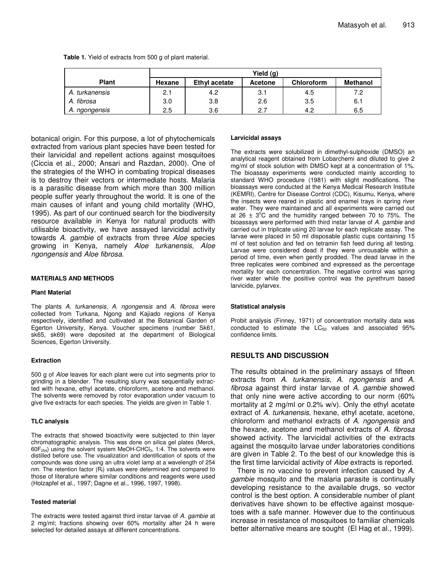|                |        |               | Yield (g)      |                   |                 |
|----------------|--------|---------------|----------------|-------------------|-----------------|
| <b>Plant</b>   | Hexane | Ethyl acetate | <b>Acetone</b> | <b>Chloroform</b> | <b>Methanol</b> |
| A. turkanensis | 2.1    | 4.2           | 3.1            | 4.5               | 7.2             |
| A. fibrosa     | 3.0    | 3.8           | 2.6            | 3.5               | 6.1             |
| A. ngongensis  | 2.5    | 3.6           | 2.7            | 4.2               | 6.5             |

**Table 1.** Yield of extracts from 500 g of plant material.

botanical origin. For this purpose, a lot of phytochemicals extracted from various plant species have been tested for their larvicidal and repellent actions against mosquitoes (Ciccia et al., 2000; Ansari and Razdan, 2000). One of the strategies of the WHO in combating tropical diseases is to destroy their vectors or intermediate hosts. Malaria is a parasitic disease from which more than 300 million people suffer yearly throughout the world. It is one of the main causes of infant and young child mortality (WHO, 1995). As part of our continued search for the biodiversity resource available in Kenya for natural products with utilisable bioactivity, we have assayed larvicidal activity towards *A. gambie* of extracts from three *Aloe* species growing in Kenya, namely *Aloe turkanensis*, *Aloe ngongensis* and *Aloe fibrosa*.

#### **MATERIALS AND METHODS**

#### **Plant Material**

The plants *A. turkanensis*, *A. ngongensis* and *A. fibrosa* were collected from Turkana, Ngong and Kajiado regions of Kenya respectively, identified and cultivated at the Botanical Garden of Egerton University, Kenya. Voucher specimens (number Sk61, sk65, sk69) were deposited at the department of Biological Sciences, Egerton University.

#### **Extraction**

500 g of *Aloe* leaves for each plant were cut into segments prior to grinding in a blender. The resulting slurry was sequentially extracted with hexane, ethyl acetate, chloroform, acetone and methanol. The solvents were removed by rotor evaporation under vacuum to give five extracts for each species. The yields are given in Table 1.

#### **TLC analysis**

The extracts that showed bioactivity were subjected to thin layer chromatographic analysis. This was done on silica gel plates (Merck,  $60F<sub>254</sub>$ ) using the solvent system MeOH-CHCl<sub>3</sub>, 1:4. The solvents were distilled before use. The visualization and identification of spots of the compounds was done using an ultra violet lamp at a wavelength of 254 nm. The retention factor  $(R<sub>f</sub>)$  values were determined and compared to those of literature where similar conditions and reagents were used (Holzapfel et al., 1997; Dagne et al., 1996, 1997, 1998).

#### **Tested material**

The extracts were tested against third instar larvae of *A. gambie* at 2 mg/ml; fractions showing over 60% mortality after 24 h were selected for detailed assays at different concentrations.

#### **Larvicidal assays**

The extracts were solubilized in dimethyl-sulphoxide (DMSO) an analytical reagent obtained from Lobarchemi and diluted to give 2 mg/ml of stock solution with DMSO kept at a concentration of 1%. The bioassay experiments were conducted mainly according to standard WHO procedure (1981) with slight modifications. The bioassays were conducted at the Kenya Medical Research Institute (KEMRI), Centre for Disease Control (CDC), Kisumu, Kenya, where the insects were reared in plastic and enamel trays in spring river water. They were maintained and all experiments were carried out at 26  $\pm$  3°C and the humidity ranged between 70 to 75%. The bioassays were performed with third instar larvae of *A. gambie* and carried out in triplicate using 20 larvae for each replicate assay. The larvae were placed in 50 ml disposable plastic cups containing 15 ml of test solution and fed on tetramin fish feed during all testing. Larvae were considered dead if they were unrousable within a period of time, even when gently prodded. The dead larvae in the three replicates were combined and expressed as the percentage mortality for each concentration. The negative control was spring river water while the positive control was the pyrethrum based larvicide, pylarvex.

#### **Statistical analysis**

Probit analysis (Finney, 1971) of concentration mortality data was conducted to estimate the  $LC_{50}$  values and associated 95% confidence limits.

## **RESULTS AND DISCUSSION**

The results obtained in the preliminary assays of fifteen extracts from *A. turkanensis*, *A. ngongensis* and *A. fibrosa* against third instar larvae of *A. gambie* showed that only nine were active according to our norm (60% mortality at 2 mg/ml or 0.2% w/v). Only the ethyl acetate extract of *A. turkanensis*, hexane, ethyl acetate, acetone, chloroform and methanol extracts of *A. ngongensis* and the hexane, acetone and methanol extracts of *A. fibrosa* showed activity. The larvicidal activities of the extracts against the mosquito larvae under laboratories conditions are given in Table 2. To the best of our knowledge this is the first time larvicidal activity of *Aloe* extracts is reported.

There is no vaccine to prevent infection caused by *A. gambie* mosquito and the malaria parasite is continually developing resistance to the available drugs, so vector control is the best option. A considerable number of plant derivatives have shown to be effective against mosquetoes with a safe manner. However due to the continuous increase in resistance of mosquitoes to familiar chemicals better alternative means are sought (El Hag et al., 1999).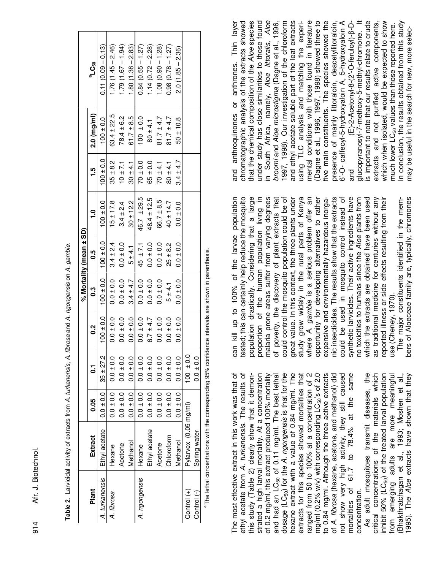Afr. J. Biotechnol. 914 Afr. J. Biotechnol.  $914$ 

|                |                       |               |               |                |                 | % Mortality (mean ± SD) |                 |               |                       |                       |
|----------------|-----------------------|---------------|---------------|----------------|-----------------|-------------------------|-----------------|---------------|-----------------------|-----------------------|
| Plant          | Extract               | 0.05          | $\mathbf{c}$  | <u>ู</u><br>0. | 0.3             | 0.5                     | <u>م</u>        | 1.5<br>1      | $2.0 \text{ (mg/ml)}$ | ီLC <sub>50</sub>     |
| A. turkanensis | Ethyl acetate         | $0.0 \pm 0.0$ | $35 + 27.2$   | $100 \pm 0.0$  | $0.0100 + 0.01$ | $100 \pm 0.0$           | $100 \pm 0.0$   | $0.0 + 0.0$   | $100 \pm 0.0$         | $0.11(0.09 - 0.13)$   |
| A. fibrosa     | <b>dexane</b>         | $0.0 \pm 0.0$ | $0.0 \pm 0.0$ | $0.0 \pm 0.0$  | $0.0 \pm 0.0$   | $3.4 \pm 2.4$           | $15 \pm 17.8$   | $35 \pm 8.2$  | $63.4 \pm 22.5$       | $1.76(1.45 - 2.46)$   |
|                | Acetone               | $0.0 \pm 0.0$ | $0.0 \pm 0.0$ | $0.0 \pm 0.0$  | $0.0 \pm 0.0$   | $0.0 \pm 0.0$           | $3.4 \pm 2.4$   | $10 \pm 7.1$  | $78.4 \pm 6.2$        | $(1.79(1.67 - 1.94))$ |
|                | Methanol              | $0.0 \pm 0.0$ | $0.0 \pm 0.0$ | $0.0 \pm 0.0$  | $3.4 \pm 4.7$   | $5 + 4.1$               | $30 + 12.2$     | $30 + 4.1$    | $61.7 \pm 8.5$        | $1.80(1.38 - 2.83)$   |
| A. ngongensis  | Hexane                | $0.0 \pm 0.0$ | $0.0 \pm 0.0$ | $0.0 + 0.0$    | $0.0 \pm 0.0$   | $45 \pm 7.1$            | $46.7 \pm 29.5$ | $70 \pm 0.0$  | $100 \pm 0.0$         | $0.84(0.55 - 1.27)$   |
|                | Ethyl acetate         | $0.0 \pm 0.0$ | $0.0 \pm 0.0$ | $6.7 \pm 4.7$  | $0.0 \pm 0.0$   | $0.0 \pm 0.0$           | $48.4 \pm 12.5$ | $65 \pm 0.0$  | $80 \pm 4.1$          | $1.14(0.72 - 2.28)$   |
|                | Acetone               | $0.0 \pm 0.0$ | $0.0 \pm 0.0$ | $0.0 \pm 0.0$  | $0.0 \pm 0.0$   | $0.0 \pm 0.0$           | $66.7 \pm 8.5$  | $70 + 4.1$    | $81.7 \pm 4.7$        | $1.08(0.90 - 1.28)$   |
|                | Chloroform            | $0.0 \pm 0.0$ | $0.0 \pm 0.0$ | $0.0 \pm 0.0$  | $5 + 4.1$       | $25 \pm 8.2$            | $40 \pm 14.7$   | $80 \pm 4.1$  | $81.7 \pm 4.7$        | $0.98(0.78 - 1.27)$   |
|                | Methanol              | $0.0 \pm 0.0$ | $0.0 \pm 0.0$ | $0.0 \pm 0.0$  | $0.0 + 0.0$     | $0.0 \pm 0.0$           | $0.0 \pm 0.0$   | $3.4 \pm 4.7$ | $50 \pm 10.8$         | $2.0(1.85 - 2.36)$    |
| Control (+)    | Pylarvex (0.05 mg/ml) |               | $100 \pm 0.0$ |                |                 |                         |                 |               |                       |                       |
| Control (-)    | Spring water          |               | $0.0 \pm 0.0$ |                |                 |                         |                 |               |                       |                       |

Table 2. Larvicidal activity of extracts from A. turkanensis, A. fibrosa and A. ngongensis on A. gambie. **Table 2.** Larvicidal activity of extracts from *A. turkanensis*, *A. fibrosa* and *A. ngongensis* on *A. gambie.*

<sup>a</sup> The lethal concentrations with the corresponding 95% confidence intervals are shown in parenthesis. The lethal concentrations with the corresponding 95% confidence intervals are shown in parenthesis.

The most effective extract in this work was that of hexane extract with a value of 0.84 mg/ml. The to 0.84 mg/ml. Although the three active extracts not show very high activity, they still caused<br>mortalities of 61.7 to 78.4% at the same ethyl acetate from A. turkanensis. The results of this study (Table 2) clearly show that it demonstrated a high larval mortality. At a concentration dosage (LC<sub>50</sub>) for the A. ngongensis is that for the extracts for this species showed mortalities that ranged from 50 to 100% at a concentration of 2 mg/ml (0.2% w/v) with corresponding LC<sub>50</sub>'s of 2.0 of A. fibrosa (hexane, acetone, and methanol) did The most effective extract in this work was that of ethyl acetate from *A. turkanensis*. The results of this study (Table 2) clearly show that it demonstrated a high larval mortality. At a concentration of 0.2 mg/ml, this extract produced 100% mortality of 0.2 mg/ml, this extract produced 100% mortality and had an LC<sub>50</sub> of 0.11 mg/ml. The best lethal and had an  $LC_{50}$  of 0.11 mg/ml. The best lethal dosage (LC50) for the *A. ngongensis* is that for the hexane extract with a value of 0.84 mg/ml. The extracts for this species showed mortalities that ranged from 50 to 100% at a concentration of 2 mg/ml (0.2% w/v) with corresponding  $LC_{50}$ 's of 2.0 to 0.84 mg/ml. Although the three active extracts of *A. fibrosa* (hexane, acetone, and methanol) did not show very high activity, they still caused mortalities of  $61.7$  to  $78.4\%$  at the same concentration. concentration.

As adult mosquitoes transmit diseases, the inhibit 50% (LC<sub>50</sub>) of the treated larval population from emerging adults are more meaningful Bhakthratchagan et al., 1993; Moshen et al., As adult mosquitoes transmit diseases, the critical concentrations of the materials which critical concentrations of the materials which inhibit 50%  $(LC_{50})$  of the treated larval population from emerging adults are more meaningful (Bhakthratchagan et al., 1993; Moshen et al., 995). The Aloe extracts have shown that they 1995). The *Aloe* extracts have shown that they

can kill up to 100% of the larvae population ested; this can certainly help reduce the mosquito population drastically. Considering that a large proportion of the human population living in could control the mosquito population could be of study grow widely in the rural parts of Kenya where A. gambie is a serious problem offer an nic insecticides. The results show that the extracts could be used in mosquito control instead of synthetic larvicides. Their active ingredients have which the extracts are obtained have been used as traditional medicine for centuries without any can kill up to 100% of the larvae population tested; this can certainly help reduce the mosquito population drastically. Considering that a large malaria prone areas suffer from varying degrees malaria prone areas suffer from varying degrees of poverty, the discovery of plant extracts that of poverty, the discovery of plant extracts that could control the mosquito population could be of great value. In this context, the three plants under great value. In this context, the three plants under study grow widely in the rural parts of Kenya where *A. gambie* is a serious problem offer an opportunity for developing alternatives to rather opportunity for developing alternatives to rather expensive and environmentally hazardous inorganic insecticides. The results show that the extracts could be used in mosquito control instead of synthetic larvicides. Their active ingredients have no toxicities to humans since the Aloe plants from which the extracts are obtained have been used as traditional medicine for centuries without any eported illness or side effects resulting from their reported illness or side effects resulting from their proportion of the human population living in expensive and environmentally hazardous inorgano toxicities to humans since the *Aloe* plants from use (Cheney, 1970). use (Cheney, 1970).

bers of Aloeceae family are, typically, chromones The major constituents identified in the mem-The major constituents identified in the members of Aloeceae family are, typically, chromones

chromatographic analysis of the extracts showed that the chemical composition of the Aloe species under study has close similarities to those found n South Africa, namely, Aloe littoralis, Aloe and ethyl acetate soluble part of the leaf extracts mental conditions with those found in literature Dagne et al., 1996, 1997, 1998) showed three to five main constituents. The species showed the 6'-O- caffeoyl-5-hydroxyaloin A, 5-hydroxyaloin A glucopyranosyl-7-methoxy-5-methyl-chromone. It is important to note that our results relate to crude which when isolated, would be expected to show n conclusion, the results obtained from this study and anthroquinones or anthrones. Thin layer and anthroquinones or anthrones. Thin layer in South Africa, namely, *Aloe littoralis, Aloe* broomi and Aloe microstigma (Dagne et al., 1996, 1997, 1998). Our investigation of the chloroform and ethyl acetate soluble part of the leaf extracts using TLC analysis and matching the experimental conditions with those found in literature (Dagne et al., 1996, 1997, 1998) showed three to five main constituents. The species showed the presence of mainly littoraloin, deacetyllitoraloin, 6'-O- caffeoyl-5-hydroxyaloin A, 5-hydroxyaloin A (E)-2-Acetonyl-8-(2'-O-feruloyl)-B-Dand (E)-2-Acetonyl-8-(2'-O-feruloyl)-β-Dglucopyranosyl-7-methoxy-5-methyl-chromone. It is important to note that our results relate to crude extracts and not purified active components, which when isolated, would be expected to show In conclusion, the results obtained from this study chromatographic analysis of the extracts showed that the chemical composition of the *Aloe* species under study has close similarities to those found *broomi* and *Aloe microstigma* (Dagne et al., 1996, 1997, 1998). Our investigation of the chloroform using TLC analysis and matching the experipresence of mainly littoraloin, deacetyllitoraloin, extracts and not purified active components, much lower LC<sub>50</sub> values than those reported here. much lower  $LC_{50}$  values than those reported here. may be useful in the search for new, more selecmay be useful in the search for new, more selecand